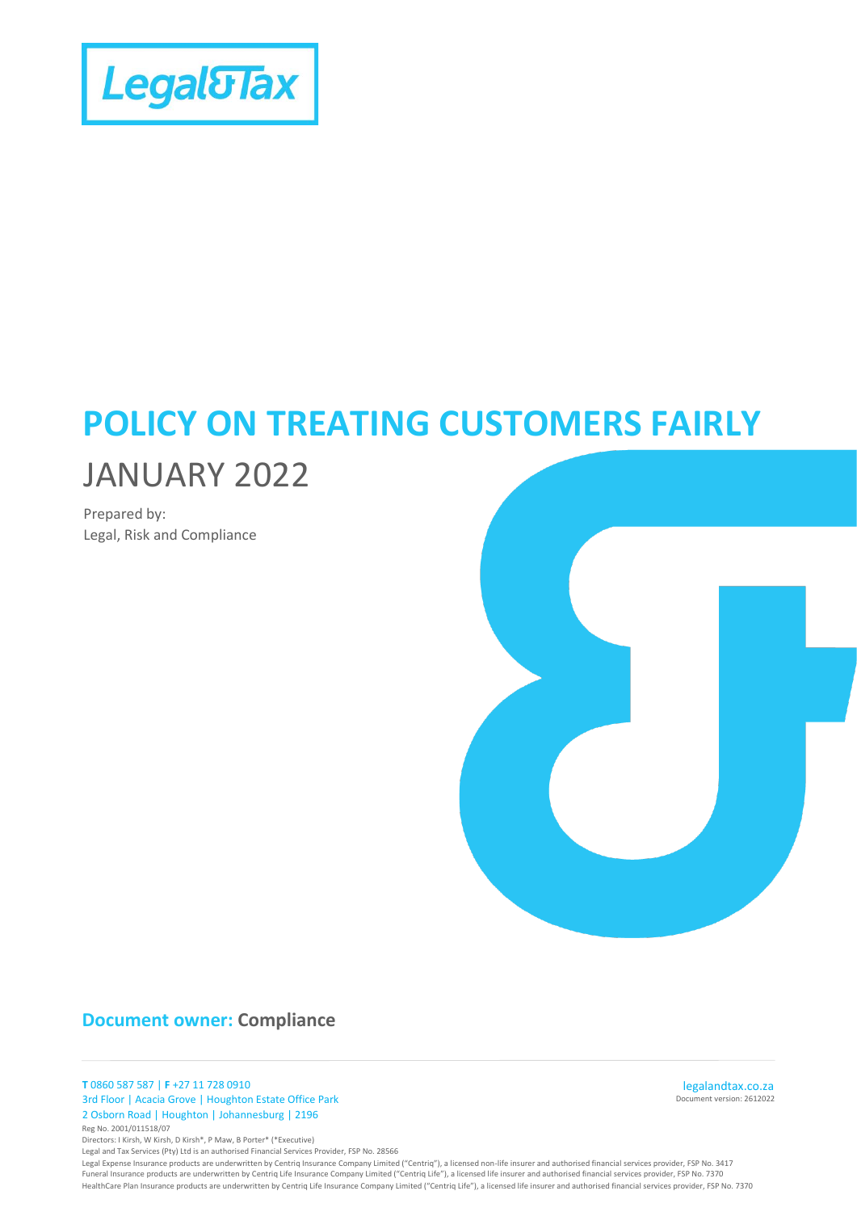

# **POLICY ON TREATING CUSTOMERS FAIRLY**

# JANUARY 2022

Prepared by: Legal, Risk and Compliance



## **Document owner: Compliance**

**T** 0860 587 587 | **F** +27 11 728 0910 3rd Floor | Acacia Grove | Houghton Estate Office Park 2 Osborn Road | Houghton | Johannesburg | 2196 Reg No. 2001/011518/07

Directors: I Kirsh, W Kirsh, D Kirsh\*, P Maw, B Porter\* (\*Executive)

Legal and Tax Services (Pty) Ltd is an authorised Financial Services Provider, FSP No. 28566

Legal Expense Insurance products are underwritten by Centriq Insurance Company Limited ("Centriq"), a licensed non-life insurer and authorised financial services provider, FSP No. 3417 Funeral Insurance products are underwritten by Centriq Life Insurance Company Limited ("Centriq Life"), a licensed life insurer and authorised financial services provider, FSP No. 7370 HealthCare Plan Insurance products are underwritten by Centriq Life Insurance Company Limited ("Centriq Life"), a licensed life insurer and authorised financial services provider, FSP No. 7370

Document version: 2612022 legalandtax.co.za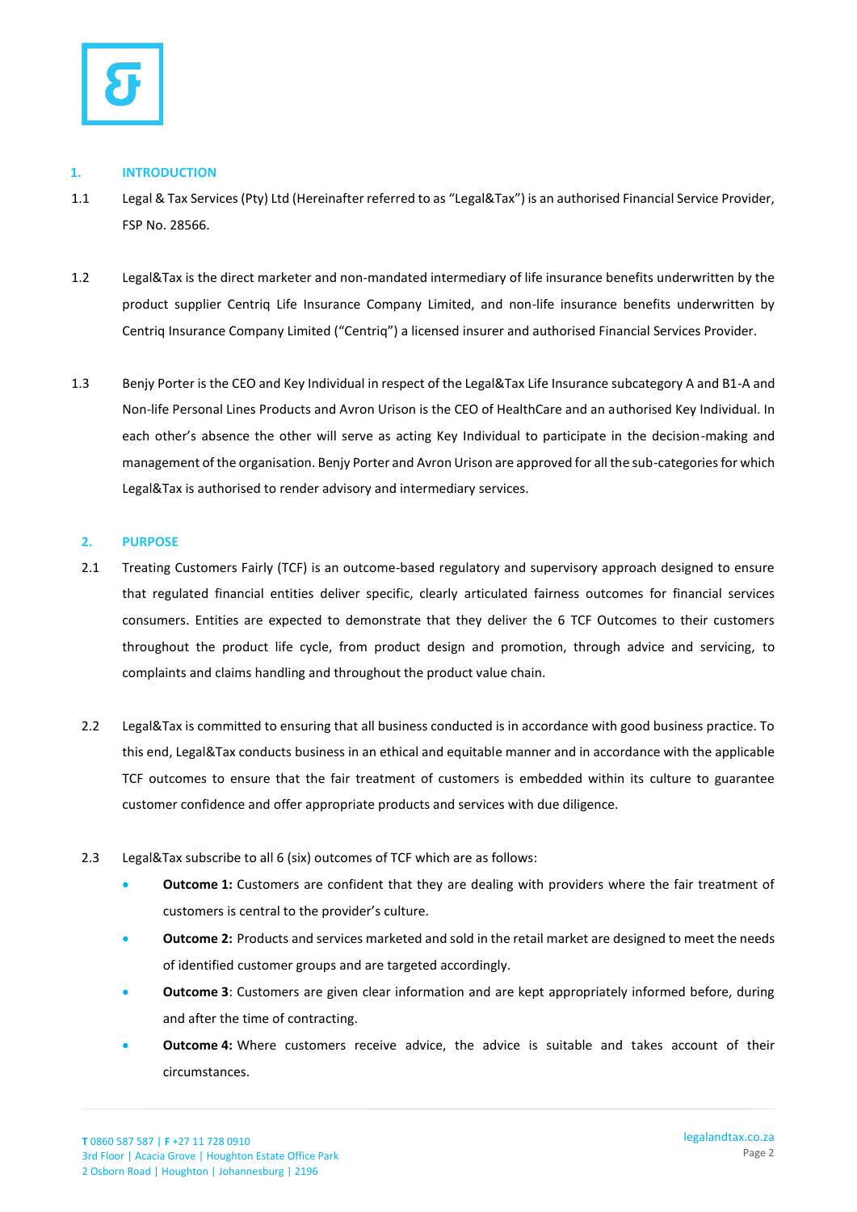

#### **1. INTRODUCTION**

- 1.1 Legal & Tax Services (Pty) Ltd (Hereinafter referred to as "Legal&Tax") is an authorised Financial Service Provider, FSP No. 28566.
- 1.2 Legal&Tax is the direct marketer and non-mandated intermediary of life insurance benefits underwritten by the product supplier Centriq Life Insurance Company Limited, and non-life insurance benefits underwritten by Centriq Insurance Company Limited ("Centriq") a licensed insurer and authorised Financial Services Provider.
- 1.3 Benjy Porter is the CEO and Key Individual in respect of the Legal&Tax Life Insurance subcategory A and B1-A and Non-life Personal Lines Products and Avron Urison is the CEO of HealthCare and an authorised Key Individual. In each other's absence the other will serve as acting Key Individual to participate in the decision-making and management of the organisation. Benjy Porter and Avron Urison are approved for all the sub-categories for which Legal&Tax is authorised to render advisory and intermediary services.

### **2. PURPOSE**

- 2.1 Treating Customers Fairly (TCF) is an outcome-based regulatory and supervisory approach designed to ensure that regulated financial entities deliver specific, clearly articulated fairness outcomes for financial services consumers. Entities are expected to demonstrate that they deliver the 6 TCF Outcomes to their customers throughout the product life cycle, from product design and promotion, through advice and servicing, to complaints and claims handling and throughout the product value chain.
- 2.2 Legal&Tax is committed to ensuring that all business conducted is in accordance with good business practice. To this end, Legal&Tax conducts business in an ethical and equitable manner and in accordance with the applicable TCF outcomes to ensure that the fair treatment of customers is embedded within its culture to guarantee customer confidence and offer appropriate products and services with due diligence.
- 2.3 Legal&Tax subscribe to all 6 (six) outcomes of TCF which are as follows:
	- **Outcome 1:** Customers are confident that they are dealing with providers where the fair treatment of customers is central to the provider's culture.
	- **Outcome 2:** Products and services marketed and sold in the retail market are designed to meet the needs of identified customer groups and are targeted accordingly.
	- **Outcome 3**: Customers are given clear information and are kept appropriately informed before, during and after the time of contracting.
	- **Outcome 4:** Where customers receive advice, the advice is suitable and takes account of their circumstances.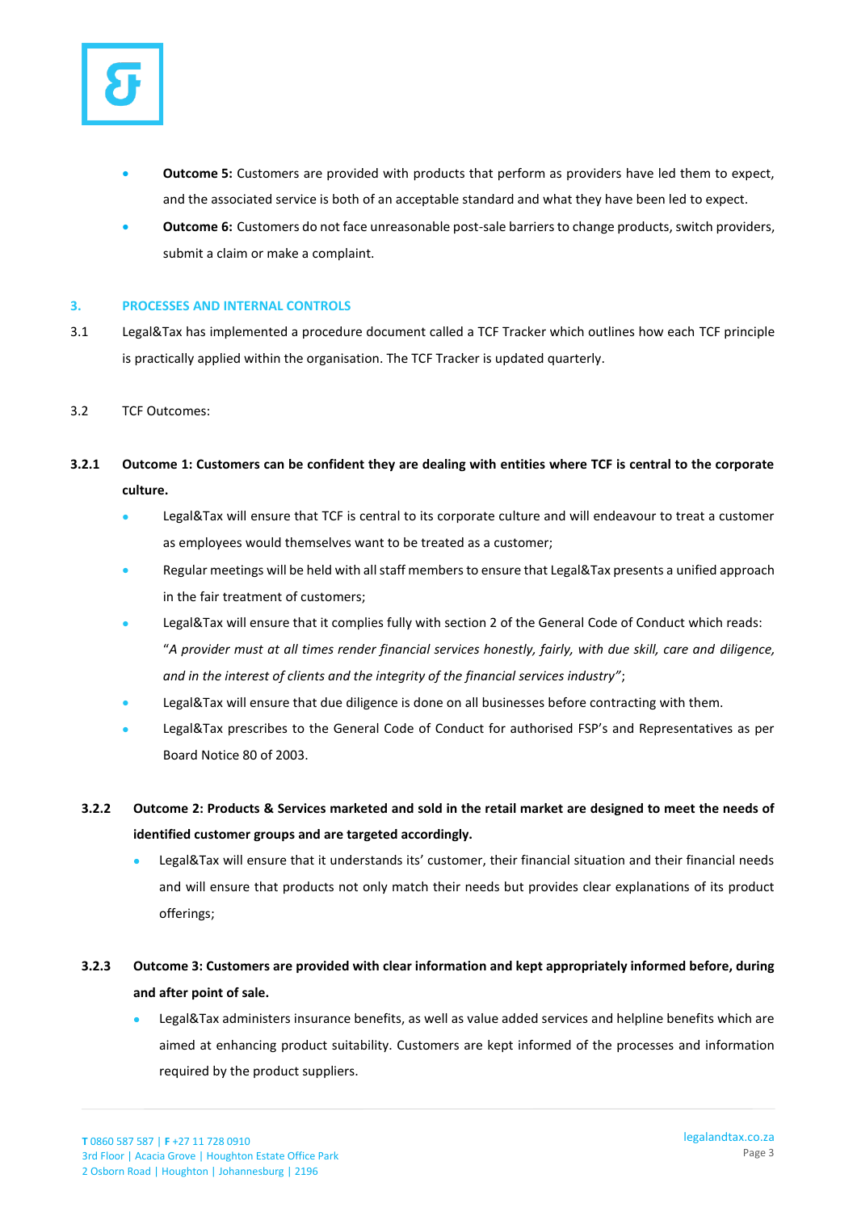

- **Outcome 5:** Customers are provided with products that perform as providers have led them to expect, and the associated service is both of an acceptable standard and what they have been led to expect.
- **Outcome 6:** Customers do not face unreasonable post-sale barriers to change products, switch providers, submit a claim or make a complaint.

#### **3. PROCESSES AND INTERNAL CONTROLS**

- 3.1 Legal&Tax has implemented a procedure document called a TCF Tracker which outlines how each TCF principle is practically applied within the organisation. The TCF Tracker is updated quarterly.
- 3.2 TCF Outcomes:
- **3.2.1 Outcome 1: Customers can be confident they are dealing with entities where TCF is central to the corporate culture.**
	- Legal&Tax will ensure that TCF is central to its corporate culture and will endeavour to treat a customer as employees would themselves want to be treated as a customer;
	- Regular meetings will be held with all staff members to ensure that Legal&Tax presents a unified approach in the fair treatment of customers;
	- Legal&Tax will ensure that it complies fully with section 2 of the General Code of Conduct which reads: "*A provider must at all times render financial services honestly, fairly, with due skill, care and diligence, and in the interest of clients and the integrity of the financial services industry"*;
	- Legal&Tax will ensure that due diligence is done on all businesses before contracting with them.
	- Legal&Tax prescribes to the General Code of Conduct for authorised FSP's and Representatives as per Board Notice 80 of 2003.
	- **3.2.2 Outcome 2: Products & Services marketed and sold in the retail market are designed to meet the needs of identified customer groups and are targeted accordingly.**
		- Legal&Tax will ensure that it understands its' customer, their financial situation and their financial needs and will ensure that products not only match their needs but provides clear explanations of its product offerings;
	- **3.2.3 Outcome 3: Customers are provided with clear information and kept appropriately informed before, during and after point of sale.**
		- Legal&Tax administers insurance benefits, as well as value added services and helpline benefits which are aimed at enhancing product suitability. Customers are kept informed of the processes and information required by the product suppliers.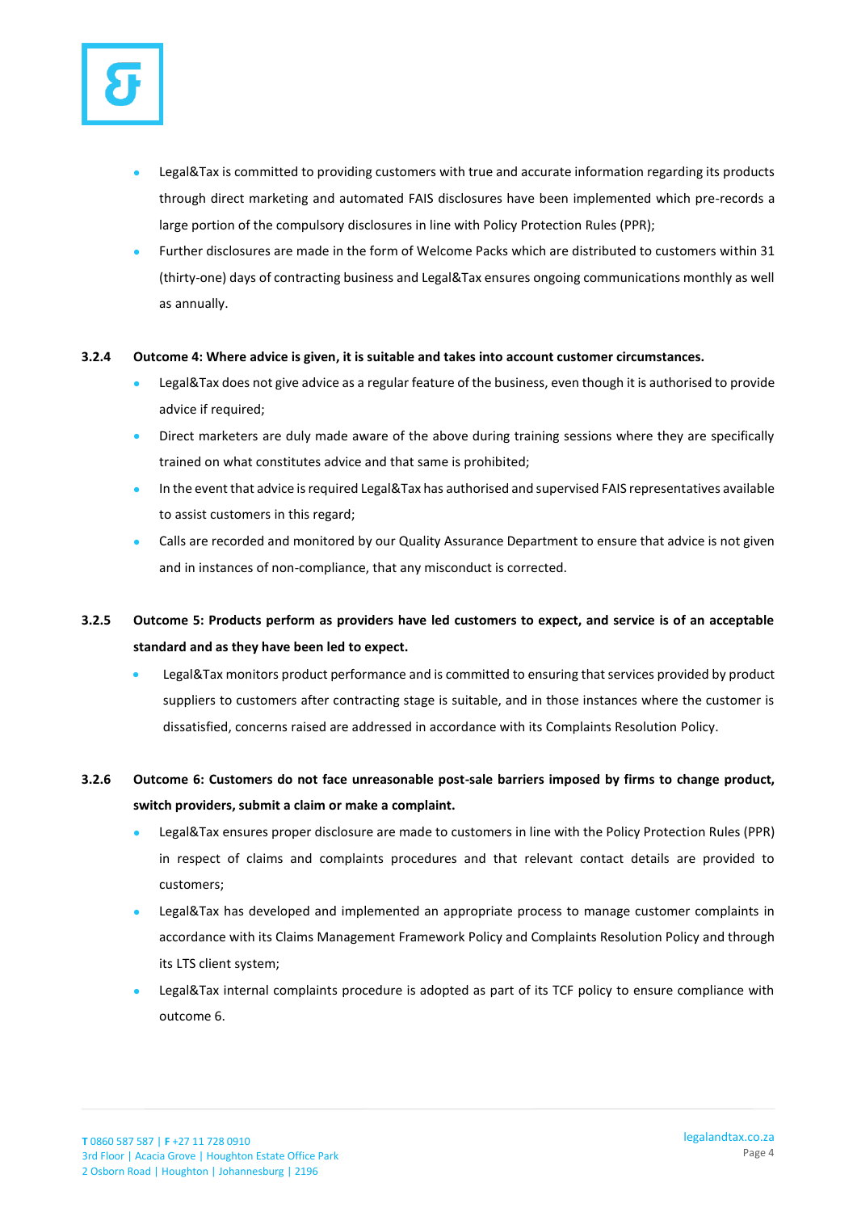

- Legal&Tax is committed to providing customers with true and accurate information regarding its products through direct marketing and automated FAIS disclosures have been implemented which pre-records a large portion of the compulsory disclosures in line with Policy Protection Rules (PPR);
- Further disclosures are made in the form of Welcome Packs which are distributed to customers within 31 (thirty-one) days of contracting business and Legal&Tax ensures ongoing communications monthly as well as annually.

#### **3.2.4 Outcome 4: Where advice is given, it is suitable and takes into account customer circumstances.**

- Legal&Tax does not give advice as a regular feature of the business, even though it is authorised to provide advice if required;
- Direct marketers are duly made aware of the above during training sessions where they are specifically trained on what constitutes advice and that same is prohibited;
- In the event that advice is required Legal&Tax has authorised and supervised FAIS representatives available to assist customers in this regard;
- Calls are recorded and monitored by our Quality Assurance Department to ensure that advice is not given and in instances of non-compliance, that any misconduct is corrected.
- **3.2.5 Outcome 5: Products perform as providers have led customers to expect, and service is of an acceptable standard and as they have been led to expect.**
	- Legal&Tax monitors product performance and is committed to ensuring that services provided by product suppliers to customers after contracting stage is suitable, and in those instances where the customer is dissatisfied, concerns raised are addressed in accordance with its Complaints Resolution Policy.

## **3.2.6 Outcome 6: Customers do not face unreasonable post-sale barriers imposed by firms to change product, switch providers, submit a claim or make a complaint.**

- Legal&Tax ensures proper disclosure are made to customers in line with the Policy Protection Rules (PPR) in respect of claims and complaints procedures and that relevant contact details are provided to customers;
- Legal&Tax has developed and implemented an appropriate process to manage customer complaints in accordance with its Claims Management Framework Policy and Complaints Resolution Policy and through its LTS client system;
- Legal&Tax internal complaints procedure is adopted as part of its TCF policy to ensure compliance with outcome 6.